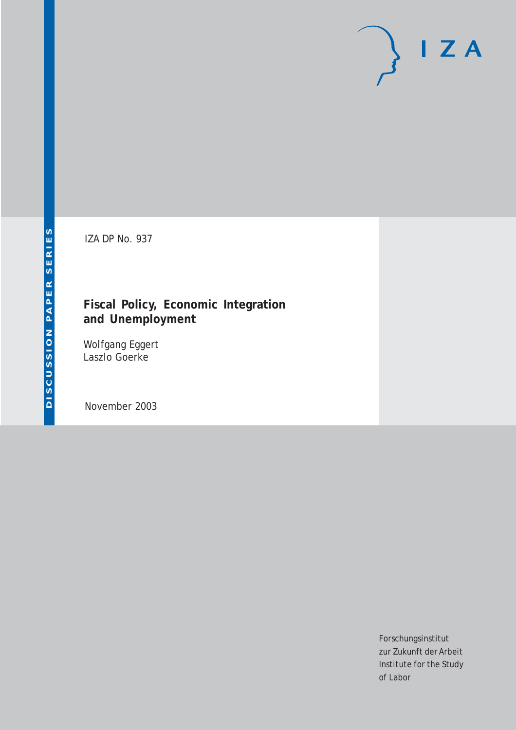# $I Z A$

IZA DP No. 937

# **Fiscal Policy, Economic Integration and Unemployment**

Wolfgang Eggert Laszlo Goerke

November 2003

Forschungsinstitut zur Zukunft der Arbeit Institute for the Study of Labor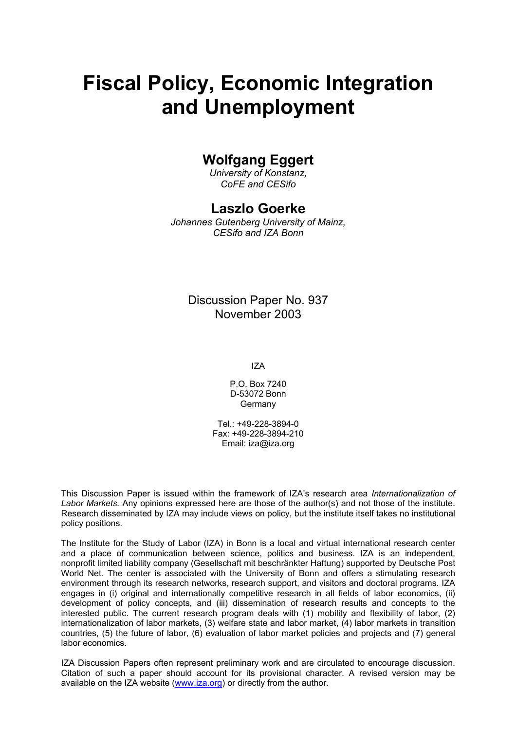# **Fiscal Policy, Economic Integration and Unemployment**

# **Wolfgang Eggert**

*University of Konstanz, CoFE and CESifo* 

# **Laszlo Goerke**

*Johannes Gutenberg University of Mainz, CESifo and IZA Bonn* 

## Discussion Paper No. 937 November 2003

IZA

P.O. Box 7240 D-53072 Bonn Germany

Tel.: +49-228-3894-0 Fax: +49-228-3894-210 Email: [iza@iza.org](mailto:iza@iza.org)

This Discussion Paper is issued within the framework of IZA's research area *Internationalization of Labor Markets.* Any opinions expressed here are those of the author(s) and not those of the institute. Research disseminated by IZA may include views on policy, but the institute itself takes no institutional policy positions.

The Institute for the Study of Labor (IZA) in Bonn is a local and virtual international research center and a place of communication between science, politics and business. IZA is an independent, nonprofit limited liability company (Gesellschaft mit beschränkter Haftung) supported by Deutsche Post World Net. The center is associated with the University of Bonn and offers a stimulating research environment through its research networks, research support, and visitors and doctoral programs. IZA engages in (i) original and internationally competitive research in all fields of labor economics, (ii) development of policy concepts, and (iii) dissemination of research results and concepts to the interested public. The current research program deals with (1) mobility and flexibility of labor, (2) internationalization of labor markets, (3) welfare state and labor market, (4) labor markets in transition countries, (5) the future of labor, (6) evaluation of labor market policies and projects and (7) general labor economics.

IZA Discussion Papers often represent preliminary work and are circulated to encourage discussion. Citation of such a paper should account for its provisional character. A revised version may be available on the IZA website ([www.iza.org](http://www.iza.org/)) or directly from the author.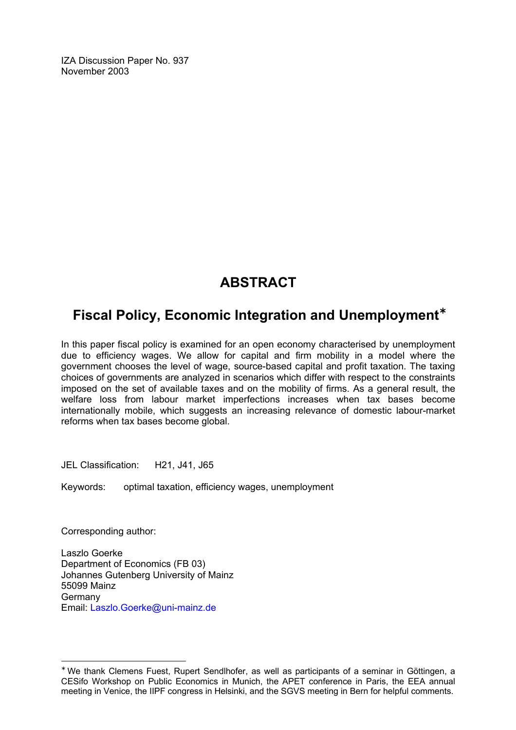IZA Discussion Paper No. 937 November 2003

# **ABSTRACT**

# **Fiscal Policy, Economic Integration and Unemployment**[∗](#page-2-0)

In this paper fiscal policy is examined for an open economy characterised by unemployment due to efficiency wages. We allow for capital and firm mobility in a model where the government chooses the level of wage, source-based capital and profit taxation. The taxing choices of governments are analyzed in scenarios which differ with respect to the constraints imposed on the set of available taxes and on the mobility of firms. As a general result, the welfare loss from labour market imperfections increases when tax bases become internationally mobile, which suggests an increasing relevance of domestic labour-market reforms when tax bases become global.

JEL Classification: H21, J41, J65

Keywords: optimal taxation, efficiency wages, unemployment

Corresponding author:

 $\overline{a}$ 

Laszlo Goerke Department of Economics (FB 03) Johannes Gutenberg University of Mainz 55099 Mainz Germany Email: [Laszlo.Goerke@uni-mainz.de](mailto:Laszlo.Goerke@uni-mainz.de)

<span id="page-2-0"></span><sup>∗</sup> We thank Clemens Fuest, Rupert Sendlhofer, as well as participants of a seminar in Göttingen, a CESifo Workshop on Public Economics in Munich, the APET conference in Paris, the EEA annual meeting in Venice, the IIPF congress in Helsinki, and the SGVS meeting in Bern for helpful comments.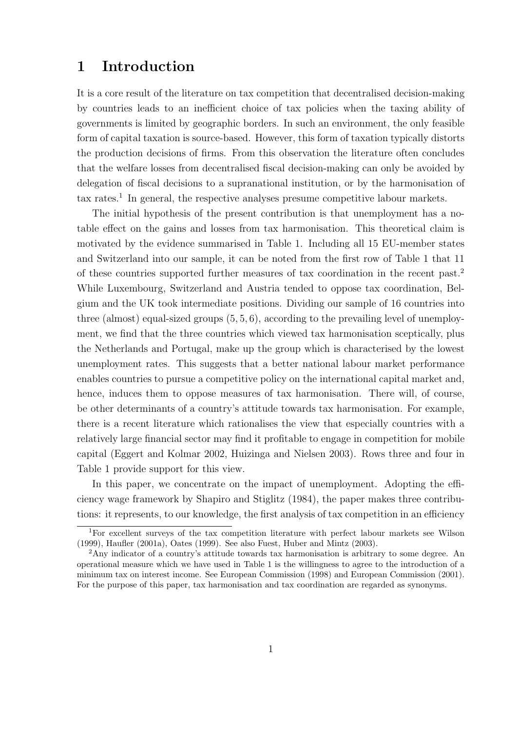# **1 Introduction**

It is a core result of the literature on tax competition that decentralised decision-making by countries leads to an inefficient choice of tax policies when the taxing ability of governments is limited by geographic borders. In such an environment, the only feasible form of capital taxation is source-based. However, this form of taxation typically distorts the production decisions of firms. From this observation the literature often concludes that the welfare losses from decentralised fiscal decision-making can only be avoided by delegation of fiscal decisions to a supranational institution, or by the harmonisation of  $\text{tax rates}$ <sup>1</sup> In general, the respective analyses presume competitive labour markets.

The initial hypothesis of the present contribution is that unemployment has a notable effect on the gains and losses from tax harmonisation. This theoretical claim is motivated by the evidence summarised in Table 1. Including all 15 EU-member states and Switzerland into our sample, it can be noted from the first row of Table 1 that 11 of these countries supported further measures of tax coordination in the recent past.<sup>2</sup> While Luxembourg, Switzerland and Austria tended to oppose tax coordination, Belgium and the UK took intermediate positions. Dividing our sample of 16 countries into three (almost) equal-sized groups  $(5, 5, 6)$ , according to the prevailing level of unemployment, we find that the three countries which viewed tax harmonisation sceptically, plus the Netherlands and Portugal, make up the group which is characterised by the lowest unemployment rates. This suggests that a better national labour market performance enables countries to pursue a competitive policy on the international capital market and, hence, induces them to oppose measures of tax harmonisation. There will, of course, be other determinants of a country's attitude towards tax harmonisation. For example, there is a recent literature which rationalises the view that especially countries with a relatively large financial sector may find it profitable to engage in competition for mobile capital (Eggert and Kolmar 2002, Huizinga and Nielsen 2003). Rows three and four in Table 1 provide support for this view.

In this paper, we concentrate on the impact of unemployment. Adopting the efficiency wage framework by Shapiro and Stiglitz (1984), the paper makes three contributions: it represents, to our knowledge, the first analysis of tax competition in an efficiency

<sup>&</sup>lt;sup>1</sup>For excellent surveys of the tax competition literature with perfect labour markets see Wilson (1999), Haufler (2001a), Oates (1999). See also Fuest, Huber and Mintz (2003).

<sup>2</sup>Any indicator of a country's attitude towards tax harmonisation is arbitrary to some degree. An operational measure which we have used in Table 1 is the willingness to agree to the introduction of a minimum tax on interest income. See European Commission (1998) and European Commission (2001). For the purpose of this paper, tax harmonisation and tax coordination are regarded as synonyms.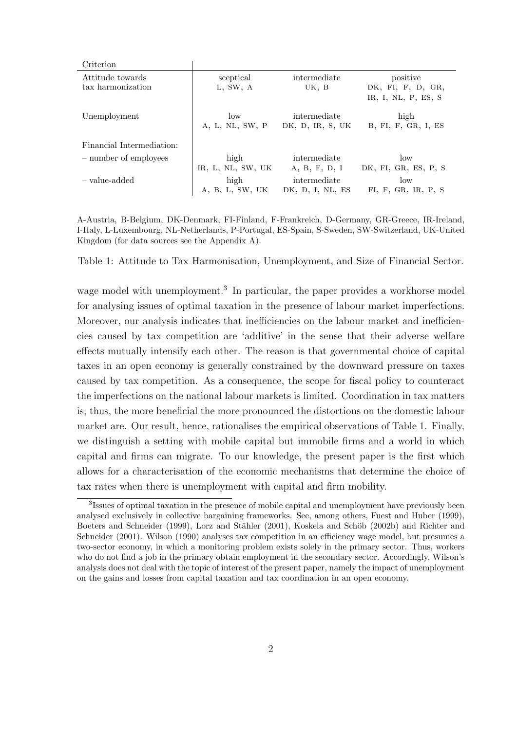| Criterion                             |                         |                                  |                                                      |
|---------------------------------------|-------------------------|----------------------------------|------------------------------------------------------|
| Attitude towards<br>tax harmonization | sceptical<br>L, SW, A   | intermediate<br>UK, B            | positive<br>DK, FI, F, D, GR,<br>IR, I, NL, P, ES, S |
| Unemployment                          | low<br>A, L, NL, SW, P  | intermediate<br>DK, D, IR, S, UK | high<br>B, FI, F, GR, I, ES                          |
| Financial Intermediation:             |                         |                                  |                                                      |
| - number of employees                 | high                    | intermediate                     | low                                                  |
|                                       | IR, L, NL, SW, UK       | A, B, F, D, I                    | DK, FI, GR, ES, P, S                                 |
| - value-added                         | high<br>A, B, L, SW, UK | intermediate<br>DK, D, I, NL, ES | $\log$<br>FI, F, GR, IR, P, S                        |
|                                       |                         |                                  |                                                      |

A-Austria, B-Belgium, DK-Denmark, FI-Finland, F-Frankreich, D-Germany, GR-Greece, IR-Ireland, I-Italy, L-Luxembourg, NL-Netherlands, P-Portugal, ES-Spain, S-Sweden, SW-Switzerland, UK-United Kingdom (for data sources see the Appendix A).

Table 1: Attitude to Tax Harmonisation, Unemployment, and Size of Financial Sector.

wage model with unemployment.<sup>3</sup> In particular, the paper provides a workhorse model for analysing issues of optimal taxation in the presence of labour market imperfections. Moreover, our analysis indicates that inefficiencies on the labour market and inefficiencies caused by tax competition are 'additive' in the sense that their adverse welfare effects mutually intensify each other. The reason is that governmental choice of capital taxes in an open economy is generally constrained by the downward pressure on taxes caused by tax competition. As a consequence, the scope for fiscal policy to counteract the imperfections on the national labour markets is limited. Coordination in tax matters is, thus, the more beneficial the more pronounced the distortions on the domestic labour market are. Our result, hence, rationalises the empirical observations of Table 1. Finally, we distinguish a setting with mobile capital but immobile firms and a world in which capital and firms can migrate. To our knowledge, the present paper is the first which allows for a characterisation of the economic mechanisms that determine the choice of tax rates when there is unemployment with capital and firm mobility.

<sup>3</sup>Issues of optimal taxation in the presence of mobile capital and unemployment have previously been analysed exclusively in collective bargaining frameworks. See, among others, Fuest and Huber (1999), Boeters and Schneider (1999), Lorz and Stähler (2001), Koskela and Schöb (2002b) and Richter and Schneider (2001). Wilson (1990) analyses tax competition in an efficiency wage model, but presumes a two-sector economy, in which a monitoring problem exists solely in the primary sector. Thus, workers who do not find a job in the primary obtain employment in the secondary sector. Accordingly, Wilson's analysis does not deal with the topic of interest of the present paper, namely the impact of unemployment on the gains and losses from capital taxation and tax coordination in an open economy.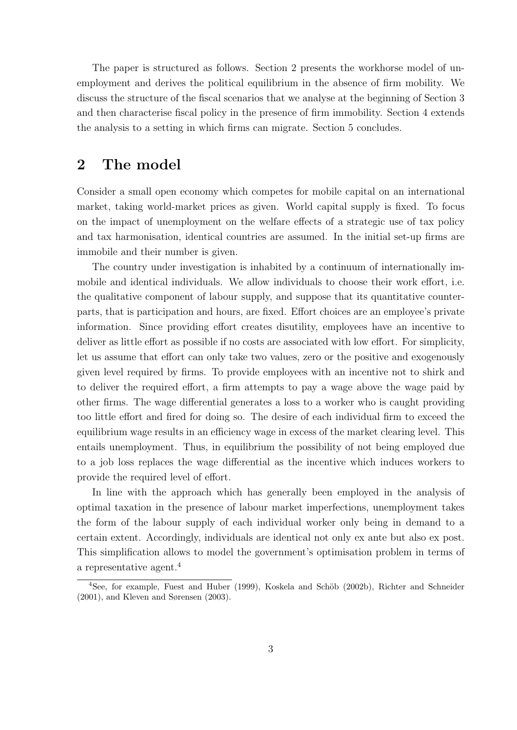The paper is structured as follows. Section 2 presents the workhorse model of unemployment and derives the political equilibrium in the absence of firm mobility. We discuss the structure of the fiscal scenarios that we analyse at the beginning of Section 3 and then characterise fiscal policy in the presence of firm immobility. Section 4 extends the analysis to a setting in which firms can migrate. Section 5 concludes.

# **2 The model**

Consider a small open economy which competes for mobile capital on an international market, taking world-market prices as given. World capital supply is fixed. To focus on the impact of unemployment on the welfare effects of a strategic use of tax policy and tax harmonisation, identical countries are assumed. In the initial set-up firms are immobile and their number is given.

The country under investigation is inhabited by a continuum of internationally immobile and identical individuals. We allow individuals to choose their work effort, i.e. the qualitative component of labour supply, and suppose that its quantitative counterparts, that is participation and hours, are fixed. Effort choices are an employee's private information. Since providing effort creates disutility, employees have an incentive to deliver as little effort as possible if no costs are associated with low effort. For simplicity, let us assume that effort can only take two values, zero or the positive and exogenously given level required by firms. To provide employees with an incentive not to shirk and to deliver the required effort, a firm attempts to pay a wage above the wage paid by other firms. The wage differential generates a loss to a worker who is caught providing too little effort and fired for doing so. The desire of each individual firm to exceed the equilibrium wage results in an efficiency wage in excess of the market clearing level. This entails unemployment. Thus, in equilibrium the possibility of not being employed due to a job loss replaces the wage differential as the incentive which induces workers to provide the required level of effort.

In line with the approach which has generally been employed in the analysis of optimal taxation in the presence of labour market imperfections, unemployment takes the form of the labour supply of each individual worker only being in demand to a certain extent. Accordingly, individuals are identical not only ex ante but also ex post. This simplification allows to model the government's optimisation problem in terms of a representative agent.<sup>4</sup>

<sup>&</sup>lt;sup>4</sup>See, for example, Fuest and Huber (1999), Koskela and Schöb (2002b), Richter and Schneider (2001), and Kleven and Sørensen (2003).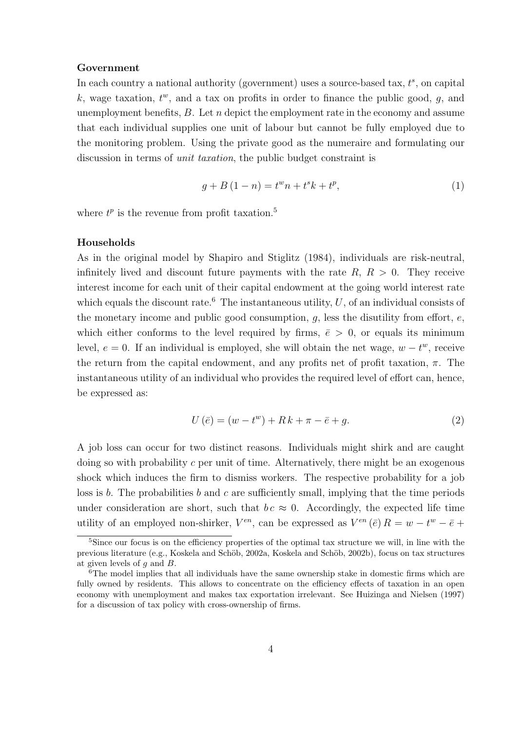#### **Government**

In each country a national authority (government) uses a source-based tax,  $t^s$ , on capital k, wage taxation,  $t^w$ , and a tax on profits in order to finance the public good, g, and unemployment benefits,  $B$ . Let  $n$  depict the employment rate in the economy and assume that each individual supplies one unit of labour but cannot be fully employed due to the monitoring problem. Using the private good as the numeraire and formulating our discussion in terms of unit taxation, the public budget constraint is

$$
g + B(1 - n) = tw n + ts k + tp,
$$
\n(1)

where  $t^p$  is the revenue from profit taxation.<sup>5</sup>

#### **Households**

As in the original model by Shapiro and Stiglitz (1984), individuals are risk-neutral, infinitely lived and discount future payments with the rate  $R, R > 0$ . They receive interest income for each unit of their capital endowment at the going world interest rate which equals the discount rate.<sup>6</sup> The instantaneous utility,  $U$ , of an individual consists of the monetary income and public good consumption,  $q$ , less the disutility from effort,  $e$ , which either conforms to the level required by firms,  $\bar{\epsilon} > 0$ , or equals its minimum level,  $e = 0$ . If an individual is employed, she will obtain the net wage,  $w - t^w$ , receive the return from the capital endowment, and any profits net of profit taxation,  $\pi$ . The instantaneous utility of an individual who provides the required level of effort can, hence, be expressed as:

$$
U(\bar{e}) = (w - t^w) + Rk + \pi - \bar{e} + g.
$$
\n
$$
(2)
$$

A job loss can occur for two distinct reasons. Individuals might shirk and are caught doing so with probability c per unit of time. Alternatively, there might be an exogenous shock which induces the firm to dismiss workers. The respective probability for a job loss is b. The probabilities b and c are sufficiently small, implying that the time periods under consideration are short, such that  $bc \approx 0$ . Accordingly, the expected life time utility of an employed non-shirker,  $V^{en}$ , can be expressed as  $V^{en}(\bar{e})R = w - t^{w} - \bar{e} +$ 

<sup>&</sup>lt;sup>5</sup>Since our focus is on the efficiency properties of the optimal tax structure we will, in line with the previous literature (e.g., Koskela and Schöb, 2002a, Koskela and Schöb, 2002b), focus on tax structures at given levels of  $g$  and  $B$ .<br><sup>6</sup>The model implies that all individuals have the same ownership stake in domestic firms which are

fully owned by residents. This allows to concentrate on the efficiency effects of taxation in an open economy with unemployment and makes tax exportation irrelevant. See Huizinga and Nielsen (1997) for a discussion of tax policy with cross-ownership of firms.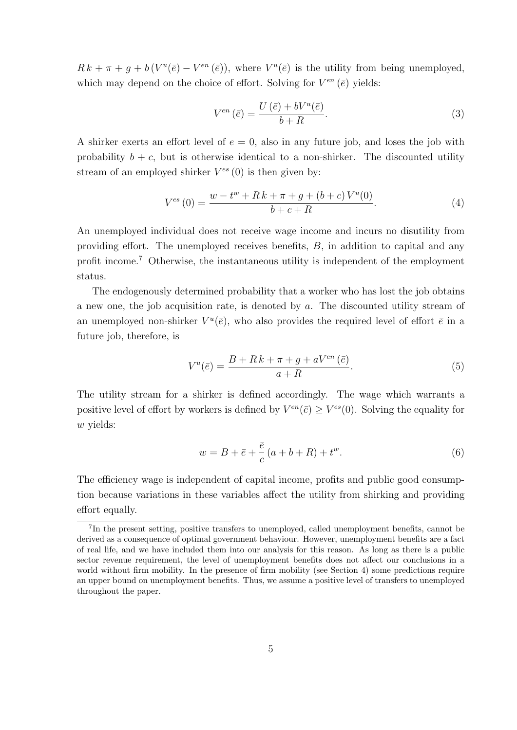$R k + \pi + g + b(V^u(\bar{e}) - V^{en}(\bar{e}))$ , where  $V^u(\bar{e})$  is the utility from being unemployed, which may depend on the choice of effort. Solving for  $V^{en}(\bar{e})$  yields:

$$
V^{en}(\bar{e}) = \frac{U(\bar{e}) + bV^{u}(\bar{e})}{b+R}.
$$
\n(3)

A shirker exerts an effort level of  $e = 0$ , also in any future job, and loses the job with probability  $b + c$ , but is otherwise identical to a non-shirker. The discounted utility stream of an employed shirker  $V^{es}(0)$  is then given by:

$$
V^{es}(0) = \frac{w - t^w + R k + \pi + g + (b + c)V^u(0)}{b + c + R}.
$$
\n(4)

An unemployed individual does not receive wage income and incurs no disutility from providing effort. The unemployed receives benefits, B, in addition to capital and any profit income.<sup>7</sup> Otherwise, the instantaneous utility is independent of the employment status.

The endogenously determined probability that a worker who has lost the job obtains a new one, the job acquisition rate, is denoted by a. The discounted utility stream of an unemployed non-shirker  $V^u(\bar{e})$ , who also provides the required level of effort  $\bar{e}$  in a future job, therefore, is

$$
V^{u}(\bar{e}) = \frac{B + R k + \pi + g + aV^{en}(\bar{e})}{a + R}.
$$
\n
$$
(5)
$$

The utility stream for a shirker is defined accordingly. The wage which warrants a positive level of effort by workers is defined by  $V^{en}(\bar{e}) \geq V^{es}(0)$ . Solving the equality for w yields:

$$
w = B + \bar{e} + \frac{\bar{e}}{c} (a + b + R) + t^{w}.
$$
 (6)

The efficiency wage is independent of capital income, profits and public good consumption because variations in these variables affect the utility from shirking and providing effort equally.

<sup>7</sup>In the present setting, positive transfers to unemployed, called unemployment benefits, cannot be derived as a consequence of optimal government behaviour. However, unemployment benefits are a fact of real life, and we have included them into our analysis for this reason. As long as there is a public sector revenue requirement, the level of unemployment benefits does not affect our conclusions in a world without firm mobility. In the presence of firm mobility (see Section 4) some predictions require an upper bound on unemployment benefits. Thus, we assume a positive level of transfers to unemployed throughout the paper.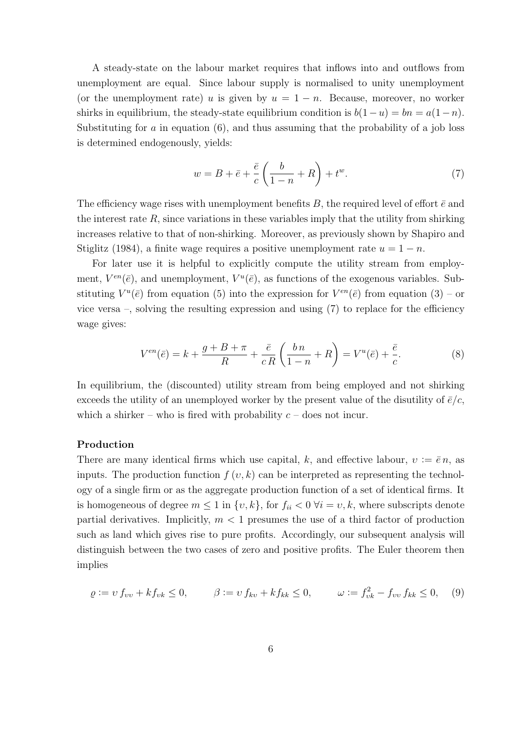A steady-state on the labour market requires that inflows into and outflows from unemployment are equal. Since labour supply is normalised to unity unemployment (or the unemployment rate) u is given by  $u = 1 - n$ . Because, moreover, no worker shirks in equilibrium, the steady-state equilibrium condition is  $b(1-u) = bn = a(1-n)$ . Substituting for  $\alpha$  in equation (6), and thus assuming that the probability of a job loss is determined endogenously, yields:

$$
w = B + \bar{e} + \frac{\bar{e}}{c} \left( \frac{b}{1-n} + R \right) + t^w.
$$
 (7)

The efficiency wage rises with unemployment benefits B, the required level of effort  $\bar{e}$  and the interest rate  $R$ , since variations in these variables imply that the utility from shirking increases relative to that of non-shirking. Moreover, as previously shown by Shapiro and Stiglitz (1984), a finite wage requires a positive unemployment rate  $u = 1 - n$ .

For later use it is helpful to explicitly compute the utility stream from employment,  $V^{en}(\bar{e})$ , and unemployment,  $V^{u}(\bar{e})$ , as functions of the exogenous variables. Substituting  $V^u(\bar{e})$  from equation (5) into the expression for  $V^{en}(\bar{e})$  from equation (3) – or vice versa –, solving the resulting expression and using (7) to replace for the efficiency wage gives:

$$
V^{en}(\bar{e}) = k + \frac{g + B + \pi}{R} + \frac{\bar{e}}{cR} \left( \frac{bn}{1 - n} + R \right) = V^{u}(\bar{e}) + \frac{\bar{e}}{c}.
$$
 (8)

In equilibrium, the (discounted) utility stream from being employed and not shirking exceeds the utility of an unemployed worker by the present value of the disutility of  $\bar{e}/c$ , which a shirker – who is fired with probability  $c$  – does not incur.

#### **Production**

There are many identical firms which use capital, k, and effective labour,  $v := \overline{e} n$ , as inputs. The production function  $f(v, k)$  can be interpreted as representing the technology of a single firm or as the aggregate production function of a set of identical firms. It is homogeneous of degree  $m \leq 1$  in  $\{v, k\}$ , for  $f_{ii} < 0 \ \forall i = v, k$ , where subscripts denote partial derivatives. Implicitly,  $m < 1$  presumes the use of a third factor of production such as land which gives rise to pure profits. Accordingly, our subsequent analysis will distinguish between the two cases of zero and positive profits. The Euler theorem then implies

$$
\varrho := v f_{vv} + k f_{vk} \le 0, \qquad \beta := v f_{kv} + k f_{kk} \le 0, \qquad \omega := f_{vk}^2 - f_{vv} f_{kk} \le 0, \quad (9)
$$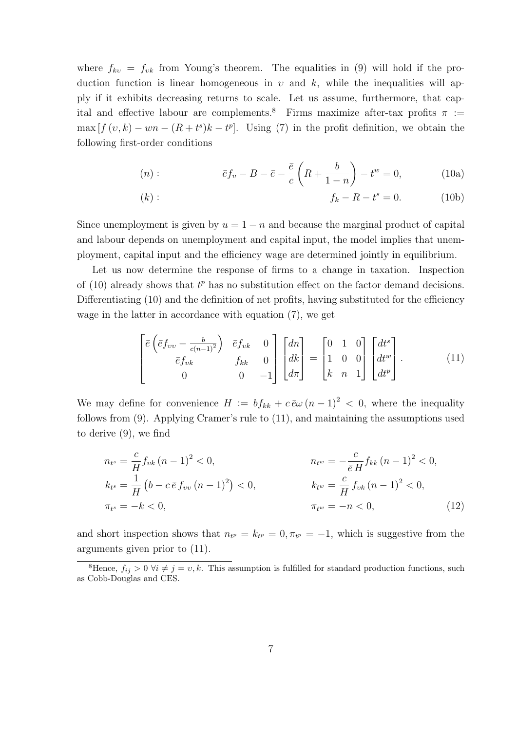where  $f_{kv} = f_{vk}$  from Young's theorem. The equalities in (9) will hold if the production function is linear homogeneous in  $v$  and  $k$ , while the inequalities will apply if it exhibits decreasing returns to scale. Let us assume, furthermore, that capital and effective labour are complements.<sup>8</sup> Firms maximize after-tax profits  $\pi$  :=  $\max [f(v, k) - wn - (R + t^s)k - t^p]$ . Using (7) in the profit definition, we obtain the following first-order conditions

$$
(n): \t\bar{e}f_v - B - \bar{e} - \frac{\bar{e}}{c}\left(R + \frac{b}{1-n}\right) - t^w = 0,\t(10a)
$$

(k): 
$$
f_k - R - t^s = 0.
$$
 (10b)

Since unemployment is given by  $u = 1 - n$  and because the marginal product of capital and labour depends on unemployment and capital input, the model implies that unemployment, capital input and the efficiency wage are determined jointly in equilibrium.

Let us now determine the response of firms to a change in taxation. Inspection of  $(10)$  already shows that  $t^p$  has no substitution effect on the factor demand decisions. Differentiating (10) and the definition of net profits, having substituted for the efficiency wage in the latter in accordance with equation (7), we get

$$
\begin{bmatrix}\n\bar{e}\left(\bar{e}f_{vv} - \frac{b}{c(n-1)^2}\right) & \bar{e}f_{vk} & 0 \\
\bar{e}f_{vk} & f_{kk} & 0 \\
0 & 0 & -1\n\end{bmatrix}\n\begin{bmatrix}\ndn \\
dk \\
d\pi\n\end{bmatrix} =\n\begin{bmatrix}\n0 & 1 & 0 \\
1 & 0 & 0 \\
k & n & 1\n\end{bmatrix}\n\begin{bmatrix}\ndt^s \\
dt^w \\
dt^p\n\end{bmatrix}.
$$
\n(11)

We may define for convenience  $H := bf_{kk} + c\bar{\epsilon}\omega (n-1)^2 < 0$ , where the inequality follows from (9). Applying Cramer's rule to (11), and maintaining the assumptions used to derive (9), we find

$$
n_{t^{s}} = \frac{c}{H} f_{vk} (n - 1)^{2} < 0, \qquad n_{t^{w}} = -\frac{c}{\bar{e} H} f_{kk} (n - 1)^{2} < 0, k_{t^{s}} = \frac{1}{H} (b - c \bar{e} f_{vv} (n - 1)^{2}) < 0, \qquad k_{t^{w}} = \frac{c}{H} f_{vk} (n - 1)^{2} < 0, \pi_{t^{s}} = -k < 0, \qquad \pi_{t^{w}} = -n < 0, \qquad (12)
$$

and short inspection shows that  $n_{t} = k_{t} = 0, \pi_{t} = -1$ , which is suggestive from the arguments given prior to (11).

<sup>&</sup>lt;sup>8</sup>Hence,  $f_{ij} > 0$   $\forall i \neq j = v, k$ . This assumption is fulfilled for standard production functions, such as Cobb-Douglas and CES.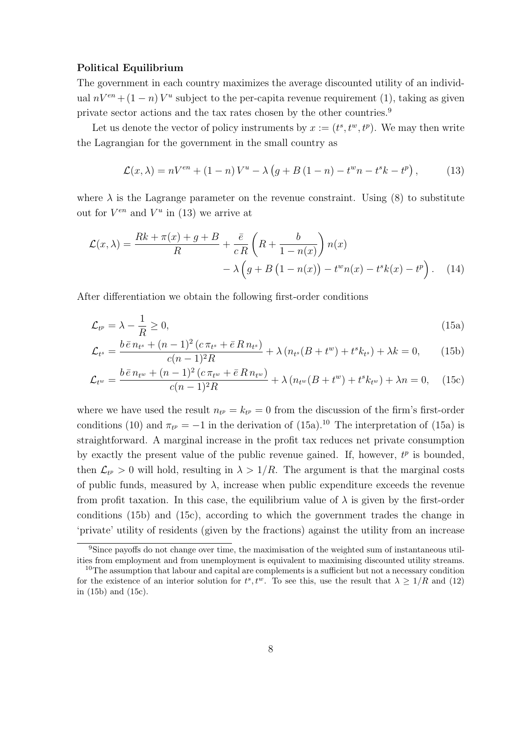#### **Political Equilibrium**

The government in each country maximizes the average discounted utility of an individual  $nV^{en} + (1 - n)V^{u}$  subject to the per-capita revenue requirement (1), taking as given private sector actions and the tax rates chosen by the other countries.<sup>9</sup>

Let us denote the vector of policy instruments by  $x := (t^s, t^w, t^p)$ . We may then write the Lagrangian for the government in the small country as

$$
\mathcal{L}(x,\lambda) = nV^{en} + (1-n)V^u - \lambda (g + B(1-n) - t^w n - t^s k - t^p),
$$
 (13)

where  $\lambda$  is the Lagrange parameter on the revenue constraint. Using (8) to substitute out for  $V^{en}$  and  $V^u$  in (13) we arrive at

$$
\mathcal{L}(x,\lambda) = \frac{Rk + \pi(x) + g + B}{R} + \frac{\bar{e}}{cR} \left( R + \frac{b}{1 - n(x)} \right) n(x)
$$

$$
- \lambda \left( g + B \left( 1 - n(x) \right) - t^w n(x) - t^s k(x) - t^p \right). \tag{14}
$$

After differentiation we obtain the following first-order conditions

$$
\mathcal{L}_{t^p} = \lambda - \frac{1}{R} \ge 0,\tag{15a}
$$

$$
\mathcal{L}_{t^s} = \frac{b \,\bar{e} \, n_{t^s} + (n-1)^2 \,(c \, \pi_{t^s} + \bar{e} \, R \, n_{t^s})}{c(n-1)^2 R} + \lambda \,(n_{t^s} (B + t^w) + t^s k_{t^s}) + \lambda k = 0,\qquad(15b)
$$

$$
\mathcal{L}_{t^{w}} = \frac{b \bar{e} n_{t^{w}} + (n-1)^{2} (c \pi_{t^{w}} + \bar{e} R n_{t^{w}})}{c(n-1)^{2} R} + \lambda (n_{t^{w}} (B + t^{w}) + t^{s} k_{t^{w}}) + \lambda n = 0, \quad (15c)
$$

where we have used the result  $n_{t} = k_{t} = 0$  from the discussion of the firm's first-order conditions (10) and  $\pi_{t^p} = -1$  in the derivation of (15a).<sup>10</sup> The interpretation of (15a) is straightforward. A marginal increase in the profit tax reduces net private consumption by exactly the present value of the public revenue gained. If, however,  $t^p$  is bounded, then  $\mathcal{L}_{t^p} > 0$  will hold, resulting in  $\lambda > 1/R$ . The argument is that the marginal costs of public funds, measured by  $\lambda$ , increase when public expenditure exceeds the revenue from profit taxation. In this case, the equilibrium value of  $\lambda$  is given by the first-order conditions (15b) and (15c), according to which the government trades the change in 'private' utility of residents (given by the fractions) against the utility from an increase

<sup>9</sup>Since payoffs do not change over time, the maximisation of the weighted sum of instantaneous utilities from employment and from unemployment is equivalent to maximising discounted utility streams.

 $10$ The assumption that labour and capital are complements is a sufficient but not a necessary condition for the existence of an interior solution for  $t^s, t^w$ . To see this, use the result that  $\lambda \geq 1/R$  and (12) in (15b) and (15c) in (15b) and (15c).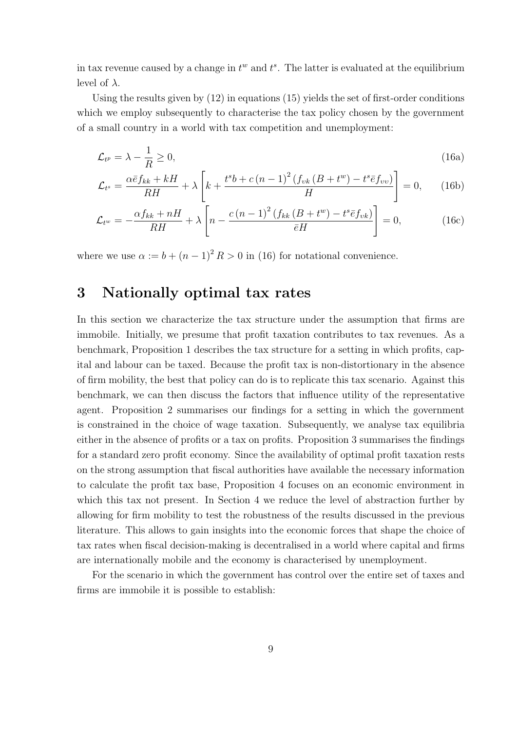in tax revenue caused by a change in  $t^w$  and  $t^s$ . The latter is evaluated at the equilibrium level of  $\lambda$ .

Using the results given by  $(12)$  in equations  $(15)$  yields the set of first-order conditions which we employ subsequently to characterise the tax policy chosen by the government of a small country in a world with tax competition and unemployment:

$$
\mathcal{L}_{t^p} = \lambda - \frac{1}{R} \ge 0,\tag{16a}
$$

$$
\mathcal{L}_{t^{s}} = \frac{\alpha \bar{e} f_{kk} + kH}{RH} + \lambda \left[ k + \frac{t^{s} b + c \left( n - 1 \right)^{2} \left( f_{vk} \left( B + t^{w} \right) - t^{s} \bar{e} f_{vv} \right)}{H} \right] = 0, \quad (16b)
$$

$$
\mathcal{L}_{t^w} = -\frac{\alpha f_{kk} + nH}{RH} + \lambda \left[ n - \frac{c(n-1)^2 \left( f_{kk} \left( B + t^w \right) - t^s \bar{e} f_{vk} \right)}{\bar{e} H} \right] = 0, \tag{16c}
$$

where we use  $\alpha := b + (n-1)^2 R > 0$  in (16) for notational convenience.

## **3 Nationally optimal tax rates**

In this section we characterize the tax structure under the assumption that firms are immobile. Initially, we presume that profit taxation contributes to tax revenues. As a benchmark, Proposition 1 describes the tax structure for a setting in which profits, capital and labour can be taxed. Because the profit tax is non-distortionary in the absence of firm mobility, the best that policy can do is to replicate this tax scenario. Against this benchmark, we can then discuss the factors that influence utility of the representative agent. Proposition 2 summarises our findings for a setting in which the government is constrained in the choice of wage taxation. Subsequently, we analyse tax equilibria either in the absence of profits or a tax on profits. Proposition 3 summarises the findings for a standard zero profit economy. Since the availability of optimal profit taxation rests on the strong assumption that fiscal authorities have available the necessary information to calculate the profit tax base, Proposition 4 focuses on an economic environment in which this tax not present. In Section 4 we reduce the level of abstraction further by allowing for firm mobility to test the robustness of the results discussed in the previous literature. This allows to gain insights into the economic forces that shape the choice of tax rates when fiscal decision-making is decentralised in a world where capital and firms are internationally mobile and the economy is characterised by unemployment.

For the scenario in which the government has control over the entire set of taxes and firms are immobile it is possible to establish: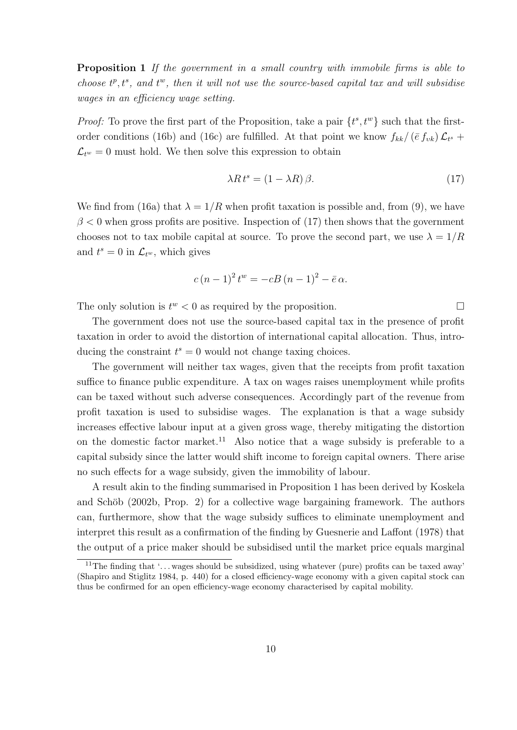**Proposition 1** If the government in a small country with immobile firms is able to choose  $t^p, t^s$ , and  $t^w$ , then it will not use the source-based capital tax and will subsidise wages in an efficiency wage setting.

*Proof:* To prove the first part of the Proposition, take a pair  $\{t^s, t^w\}$  such that the firstorder conditions (16b) and (16c) are fulfilled. At that point we know  $f_{kk}/(\bar{e} f_{vk})\mathcal{L}_{t^s}$  +  $\mathcal{L}_{t^w} = 0$  must hold. We then solve this expression to obtain

$$
\lambda R t^s = (1 - \lambda R) \beta. \tag{17}
$$

We find from (16a) that  $\lambda = 1/R$  when profit taxation is possible and, from (9), we have  $\beta$  < 0 when gross profits are positive. Inspection of (17) then shows that the government chooses not to tax mobile capital at source. To prove the second part, we use  $\lambda = 1/R$ and  $t^s = 0$  in  $\mathcal{L}_{t^w}$ , which gives

$$
c (n - 1)^{2} t^{w} = -cB (n - 1)^{2} - \bar{e} \alpha.
$$

The only solution is  $t^w < 0$  as required by the proposition.

The government does not use the source-based capital tax in the presence of profit taxation in order to avoid the distortion of international capital allocation. Thus, introducing the constraint  $t^s = 0$  would not change taxing choices.

The government will neither tax wages, given that the receipts from profit taxation suffice to finance public expenditure. A tax on wages raises unemployment while profits can be taxed without such adverse consequences. Accordingly part of the revenue from profit taxation is used to subsidise wages. The explanation is that a wage subsidy increases effective labour input at a given gross wage, thereby mitigating the distortion on the domestic factor market.<sup>11</sup> Also notice that a wage subsidy is preferable to a capital subsidy since the latter would shift income to foreign capital owners. There arise no such effects for a wage subsidy, given the immobility of labour.

A result akin to the finding summarised in Proposition 1 has been derived by Koskela and Schöb (2002b, Prop. 2) for a collective wage bargaining framework. The authors can, furthermore, show that the wage subsidy suffices to eliminate unemployment and interpret this result as a confirmation of the finding by Guesnerie and Laffont (1978) that the output of a price maker should be subsidised until the market price equals marginal

<sup>&</sup>lt;sup>11</sup>The finding that '... wages should be subsidized, using whatever (pure) profits can be taxed away' (Shapiro and Stiglitz 1984, p. 440) for a closed efficiency-wage economy with a given capital stock can thus be confirmed for an open efficiency-wage economy characterised by capital mobility.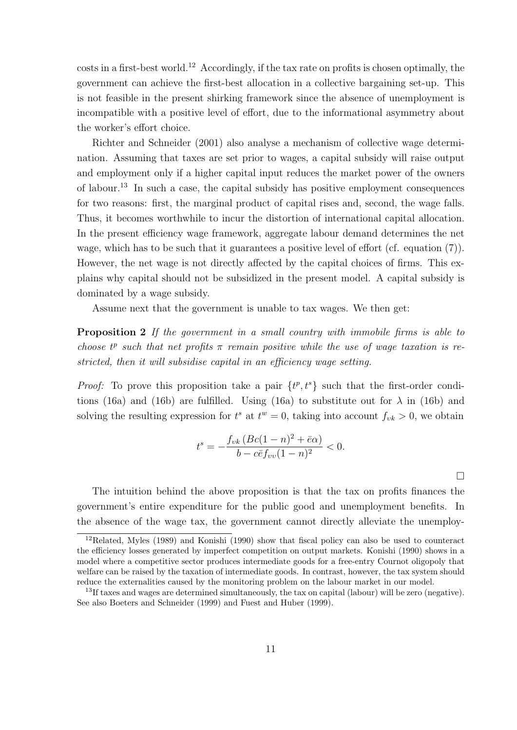costs in a first-best world.<sup>12</sup> Accordingly, if the tax rate on profits is chosen optimally, the government can achieve the first-best allocation in a collective bargaining set-up. This is not feasible in the present shirking framework since the absence of unemployment is incompatible with a positive level of effort, due to the informational asymmetry about the worker's effort choice.

Richter and Schneider (2001) also analyse a mechanism of collective wage determination. Assuming that taxes are set prior to wages, a capital subsidy will raise output and employment only if a higher capital input reduces the market power of the owners of labour.<sup>13</sup> In such a case, the capital subsidy has positive employment consequences for two reasons: first, the marginal product of capital rises and, second, the wage falls. Thus, it becomes worthwhile to incur the distortion of international capital allocation. In the present efficiency wage framework, aggregate labour demand determines the net wage, which has to be such that it guarantees a positive level of effort (cf. equation (7)). However, the net wage is not directly affected by the capital choices of firms. This explains why capital should not be subsidized in the present model. A capital subsidy is dominated by a wage subsidy.

Assume next that the government is unable to tax wages. We then get:

**Proposition 2** If the government in a small country with immobile firms is able to choose  $t^p$  such that net profits  $\pi$  remain positive while the use of wage taxation is restricted, then it will subsidise capital in an efficiency wage setting.

*Proof:* To prove this proposition take a pair  $\{t^p, t^s\}$  such that the first-order conditions (16a) and (16b) are fulfilled. Using (16a) to substitute out for  $\lambda$  in (16b) and solving the resulting expression for  $t^s$  at  $t^w = 0$ , taking into account  $f_{vk} > 0$ , we obtain

$$
t^{s} = -\frac{f_{vk} (Bc(1-n)^{2} + \bar{e}\alpha)}{b - c\bar{e}f_{vv}(1-n)^{2}} < 0.
$$

 $\Box$ 

The intuition behind the above proposition is that the tax on profits finances the government's entire expenditure for the public good and unemployment benefits. In the absence of the wage tax, the government cannot directly alleviate the unemploy-

 $12$ Related, Myles (1989) and Konishi (1990) show that fiscal policy can also be used to counteract the efficiency losses generated by imperfect competition on output markets. Konishi (1990) shows in a model where a competitive sector produces intermediate goods for a free-entry Cournot oligopoly that welfare can be raised by the taxation of intermediate goods. In contrast, however, the tax system should reduce the externalities caused by the monitoring problem on the labour market in our model.

<sup>13</sup>If taxes and wages are determined simultaneously, the tax on capital (labour) will be zero (negative). See also Boeters and Schneider (1999) and Fuest and Huber (1999).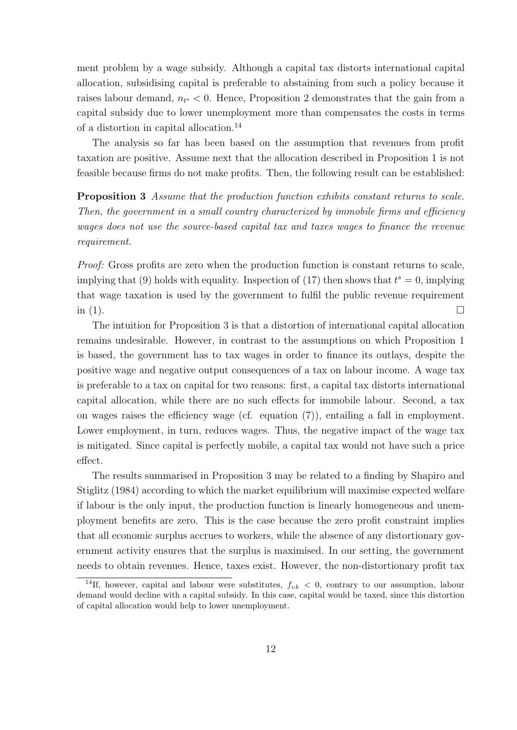ment problem by a wage subsidy. Although a capital tax distorts international capital allocation, subsidising capital is preferable to abstaining from such a policy because it raises labour demand,  $n_{t} < 0$ . Hence, Proposition 2 demonstrates that the gain from a capital subsidy due to lower unemployment more than compensates the costs in terms of a distortion in capital allocation.<sup>14</sup>

The analysis so far has been based on the assumption that revenues from profit taxation are positive. Assume next that the allocation described in Proposition 1 is not feasible because firms do not make profits. Then, the following result can be established:

**Proposition 3** Assume that the production function exhibits constant returns to scale. Then, the government in a small country characterized by immobile firms and efficiency wages does not use the source-based capital tax and taxes wages to finance the revenue requirement.

Proof: Gross profits are zero when the production function is constant returns to scale, implying that (9) holds with equality. Inspection of (17) then shows that  $t^s = 0$ , implying that wage taxation is used by the government to fulfil the public revenue requirement in (1).  $\Box$ 

The intuition for Proposition 3 is that a distortion of international capital allocation remains undesirable. However, in contrast to the assumptions on which Proposition 1 is based, the government has to tax wages in order to finance its outlays, despite the positive wage and negative output consequences of a tax on labour income. A wage tax is preferable to a tax on capital for two reasons: first, a capital tax distorts international capital allocation, while there are no such effects for immobile labour. Second, a tax on wages raises the efficiency wage (cf. equation (7)), entailing a fall in employment. Lower employment, in turn, reduces wages. Thus, the negative impact of the wage tax is mitigated. Since capital is perfectly mobile, a capital tax would not have such a price effect.

The results summarised in Proposition 3 may be related to a finding by Shapiro and Stiglitz (1984) according to which the market equilibrium will maximise expected welfare if labour is the only input, the production function is linearly homogeneous and unemployment benefits are zero. This is the case because the zero profit constraint implies that all economic surplus accrues to workers, while the absence of any distortionary government activity ensures that the surplus is maximised. In our setting, the government needs to obtain revenues. Hence, taxes exist. However, the non-distortionary profit tax

<sup>&</sup>lt;sup>14</sup>If, however, capital and labour were substitutes,  $f_{\nu k} < 0$ , contrary to our assumption, labour demand would decline with a capital subsidy. In this case, capital would be taxed, since this distortion of capital allocation would help to lower unemployment.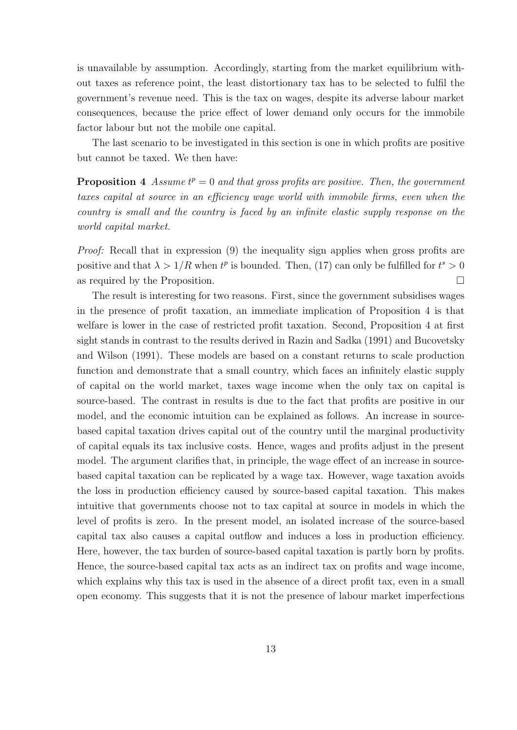is unavailable by assumption. Accordingly, starting from the market equilibrium without taxes as reference point, the least distortionary tax has to be selected to fulfil the government's revenue need. This is the tax on wages, despite its adverse labour market consequences, because the price effect of lower demand only occurs for the immobile factor labour but not the mobile one capital.

The last scenario to be investigated in this section is one in which profits are positive but cannot be taxed. We then have:

**Proposition 4** Assume  $t^p = 0$  and that gross profits are positive. Then, the government taxes capital at source in an efficiency wage world with immobile firms, even when the country is small and the country is faced by an infinite elastic supply response on the world capital market.

Proof: Recall that in expression (9) the inequality sign applies when gross profits are positive and that  $\lambda > 1/R$  when  $t^p$  is bounded. Then, (17) can only be fulfilled for  $t^s > 0$ as required by the Proposition.

The result is interesting for two reasons. First, since the government subsidises wages in the presence of profit taxation, an immediate implication of Proposition 4 is that welfare is lower in the case of restricted profit taxation. Second, Proposition 4 at first sight stands in contrast to the results derived in Razin and Sadka (1991) and Bucovetsky and Wilson (1991). These models are based on a constant returns to scale production function and demonstrate that a small country, which faces an infinitely elastic supply of capital on the world market, taxes wage income when the only tax on capital is source-based. The contrast in results is due to the fact that profits are positive in our model, and the economic intuition can be explained as follows. An increase in sourcebased capital taxation drives capital out of the country until the marginal productivity of capital equals its tax inclusive costs. Hence, wages and profits adjust in the present model. The argument clarifies that, in principle, the wage effect of an increase in sourcebased capital taxation can be replicated by a wage tax. However, wage taxation avoids the loss in production efficiency caused by source-based capital taxation. This makes intuitive that governments choose not to tax capital at source in models in which the level of profits is zero. In the present model, an isolated increase of the source-based capital tax also causes a capital outflow and induces a loss in production efficiency. Here, however, the tax burden of source-based capital taxation is partly born by profits. Hence, the source-based capital tax acts as an indirect tax on profits and wage income, which explains why this tax is used in the absence of a direct profit tax, even in a small open economy. This suggests that it is not the presence of labour market imperfections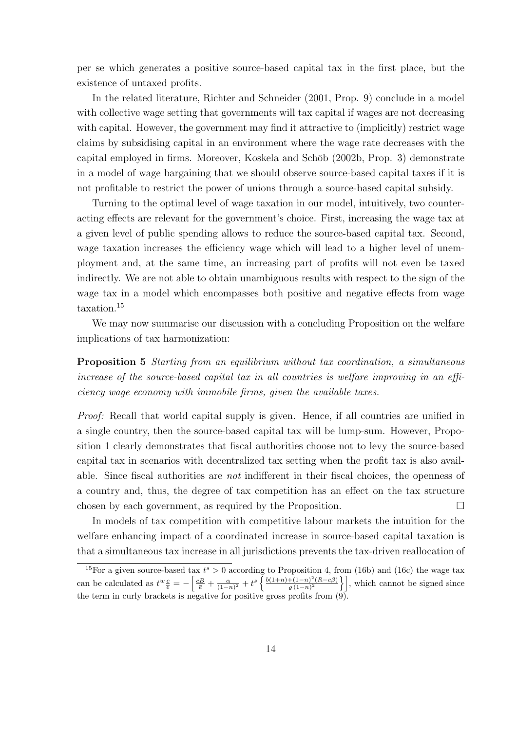per se which generates a positive source-based capital tax in the first place, but the existence of untaxed profits.

In the related literature, Richter and Schneider (2001, Prop. 9) conclude in a model with collective wage setting that governments will tax capital if wages are not decreasing with capital. However, the government may find it attractive to (implicitly) restrict wage claims by subsidising capital in an environment where the wage rate decreases with the capital employed in firms. Moreover, Koskela and Schöb (2002b, Prop. 3) demonstrate in a model of wage bargaining that we should observe source-based capital taxes if it is not profitable to restrict the power of unions through a source-based capital subsidy.

Turning to the optimal level of wage taxation in our model, intuitively, two counteracting effects are relevant for the government's choice. First, increasing the wage tax at a given level of public spending allows to reduce the source-based capital tax. Second, wage taxation increases the efficiency wage which will lead to a higher level of unemployment and, at the same time, an increasing part of profits will not even be taxed indirectly. We are not able to obtain unambiguous results with respect to the sign of the wage tax in a model which encompasses both positive and negative effects from wage taxation.<sup>15</sup>

We may now summarise our discussion with a concluding Proposition on the welfare implications of tax harmonization:

**Proposition 5** Starting from an equilibrium without tax coordination, a simultaneous increase of the source-based capital tax in all countries is welfare improving in an efficiency wage economy with immobile firms, given the available taxes.

Proof: Recall that world capital supply is given. Hence, if all countries are unified in a single country, then the source-based capital tax will be lump-sum. However, Proposition 1 clearly demonstrates that fiscal authorities choose not to levy the source-based capital tax in scenarios with decentralized tax setting when the profit tax is also available. Since fiscal authorities are not indifferent in their fiscal choices, the openness of a country and, thus, the degree of tax competition has an effect on the tax structure chosen by each government, as required by the Proposition.

In models of tax competition with competitive labour markets the intuition for the welfare enhancing impact of a coordinated increase in source-based capital taxation is that a simultaneous tax increase in all jurisdictions prevents the tax-driven reallocation of

<sup>&</sup>lt;sup>15</sup>For a given source-based tax  $t^s > 0$  according to Proposition 4, from (16b) and (16c) the wage tax can be calculated as  $t^w \frac{c}{e} = -\left[\frac{cB}{\overline{e}} + \frac{\alpha}{(1-n)^2} + t^s\right\} \frac{b(1+n)+(1-n)^2(R-c\beta)}{\varrho(1-n)^2}$  $\left\{\frac{+(1-n)^2(R-c\beta)}{\varrho(1-n)^2}\right\}$ , which cannot be signed since the term in curly brackets is negative for positive gross profits from (9).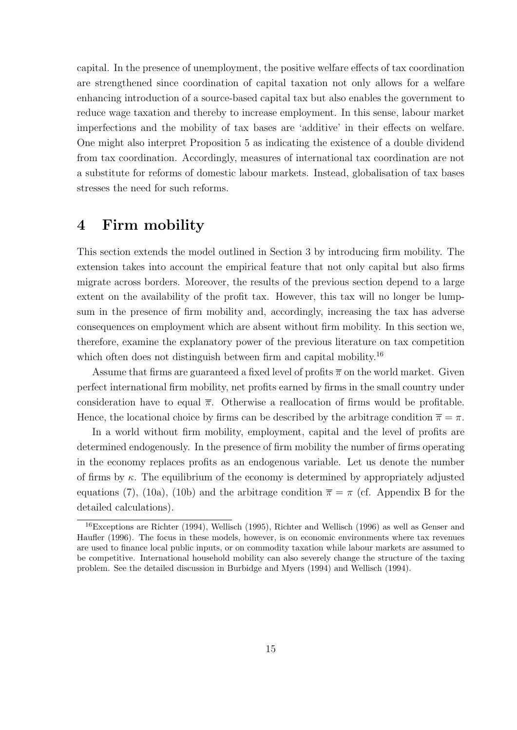capital. In the presence of unemployment, the positive welfare effects of tax coordination are strengthened since coordination of capital taxation not only allows for a welfare enhancing introduction of a source-based capital tax but also enables the government to reduce wage taxation and thereby to increase employment. In this sense, labour market imperfections and the mobility of tax bases are 'additive' in their effects on welfare. One might also interpret Proposition 5 as indicating the existence of a double dividend from tax coordination. Accordingly, measures of international tax coordination are not a substitute for reforms of domestic labour markets. Instead, globalisation of tax bases stresses the need for such reforms.

# **4 Firm mobility**

This section extends the model outlined in Section 3 by introducing firm mobility. The extension takes into account the empirical feature that not only capital but also firms migrate across borders. Moreover, the results of the previous section depend to a large extent on the availability of the profit tax. However, this tax will no longer be lumpsum in the presence of firm mobility and, accordingly, increasing the tax has adverse consequences on employment which are absent without firm mobility. In this section we, therefore, examine the explanatory power of the previous literature on tax competition which often does not distinguish between firm and capital mobility.<sup>16</sup>

Assume that firms are guaranteed a fixed level of profits  $\overline{\pi}$  on the world market. Given perfect international firm mobility, net profits earned by firms in the small country under consideration have to equal  $\bar{\pi}$ . Otherwise a reallocation of firms would be profitable. Hence, the locational choice by firms can be described by the arbitrage condition  $\bar{\pi} = \pi$ .

In a world without firm mobility, employment, capital and the level of profits are determined endogenously. In the presence of firm mobility the number of firms operating in the economy replaces profits as an endogenous variable. Let us denote the number of firms by  $\kappa$ . The equilibrium of the economy is determined by appropriately adjusted equations (7), (10a), (10b) and the arbitrage condition  $\bar{\pi} = \pi$  (cf. Appendix B for the detailed calculations).

<sup>16</sup>Exceptions are Richter (1994), Wellisch (1995), Richter and Wellisch (1996) as well as Genser and Haufler (1996). The focus in these models, however, is on economic environments where tax revenues are used to finance local public inputs, or on commodity taxation while labour markets are assumed to be competitive. International household mobility can also severely change the structure of the taxing problem. See the detailed discussion in Burbidge and Myers (1994) and Wellisch (1994).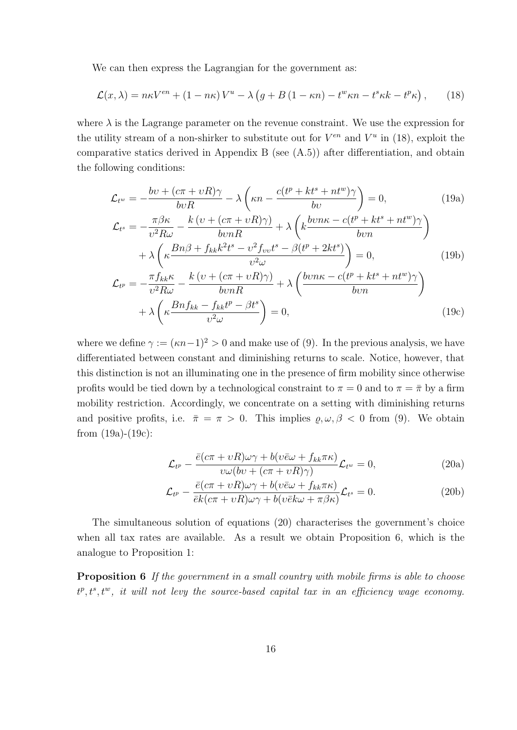We can then express the Lagrangian for the government as:

$$
\mathcal{L}(x,\lambda) = n\kappa V^{en} + (1 - n\kappa)V^{u} - \lambda\left(g + B\left(1 - \kappa n\right) - t^{w}\kappa n - t^{s}\kappa k - t^{p}\kappa\right),\tag{18}
$$

where  $\lambda$  is the Lagrange parameter on the revenue constraint. We use the expression for the utility stream of a non-shirker to substitute out for  $V^{en}$  and  $V^u$  in (18), exploit the comparative statics derived in Appendix B (see (A.5)) after differentiation, and obtain the following conditions:

$$
\mathcal{L}_{t^w} = -\frac{bv + (c\pi + vR)\gamma}{bvR} - \lambda \left(\kappa n - \frac{c(t^p + kt^s + nt^w)\gamma}{bv}\right) = 0,\tag{19a}
$$

$$
\mathcal{L}_{t^{s}} = -\frac{\pi \beta \kappa}{v^{2} R \omega} - \frac{k (v + (c\pi + vR)\gamma)}{b v n R} + \lambda \left( k \frac{b v n \kappa - c (t^{p} + k t^{s} + n t^{w}) \gamma}{b v n} \right) \n+ \lambda \left( \kappa \frac{B n \beta + f_{kk} k^{2} t^{s} - v^{2} f_{v v} t^{s} - \beta (t^{p} + 2 k t^{s})}{v^{2} \omega} \right) = 0, \qquad (19b)
$$
\n
$$
\mathcal{L}_{t^{p}} = -\frac{\pi f_{kk} \kappa}{v^{2} R \omega} - \frac{k (v + (c\pi + vR)\gamma)}{b v n R} + \lambda \left( \frac{b v n \kappa - c (t^{p} + k t^{s} + n t^{w}) \gamma}{b v n} \right)
$$

$$
+ \lambda \left( \kappa \frac{Bnf_{kk} - f_{kk}t^p - \beta t^s}{v^2 \omega} \right) = 0, \tag{19c}
$$

where we define  $\gamma := (\kappa n - 1)^2 > 0$  and make use of (9). In the previous analysis, we have differentiated between constant and diminishing returns to scale. Notice, however, that this distinction is not an illuminating one in the presence of firm mobility since otherwise profits would be tied down by a technological constraint to  $\pi = 0$  and to  $\pi = \bar{\pi}$  by a firm mobility restriction. Accordingly, we concentrate on a setting with diminishing returns and positive profits, i.e.  $\bar{\pi} = \pi > 0$ . This implies  $\varrho, \omega, \beta < 0$  from (9). We obtain from (19a)-(19c):

$$
\mathcal{L}_{t^p} - \frac{\bar{e}(c\pi + vR)\omega\gamma + b(v\bar{e}\omega + f_{kk}\pi\kappa)}{v\omega(bv + (c\pi + vR)\gamma)}\mathcal{L}_{t^w} = 0,
$$
\n(20a)

$$
\mathcal{L}_{t^p} - \frac{\bar{e}(c\pi + vR)\omega\gamma + b(v\bar{e}\omega + f_{kk}\pi\kappa)}{\bar{e}k(c\pi + vR)\omega\gamma + b(v\bar{e}k\omega + \pi\beta\kappa)}\mathcal{L}_{t^s} = 0.
$$
\n(20b)

The simultaneous solution of equations (20) characterises the government's choice when all tax rates are available. As a result we obtain Proposition 6, which is the analogue to Proposition 1:

**Proposition 6** If the government in a small country with mobile firms is able to choose  $t^p, t^s, t^w$ , it will not levy the source-based capital tax in an efficiency wage economy.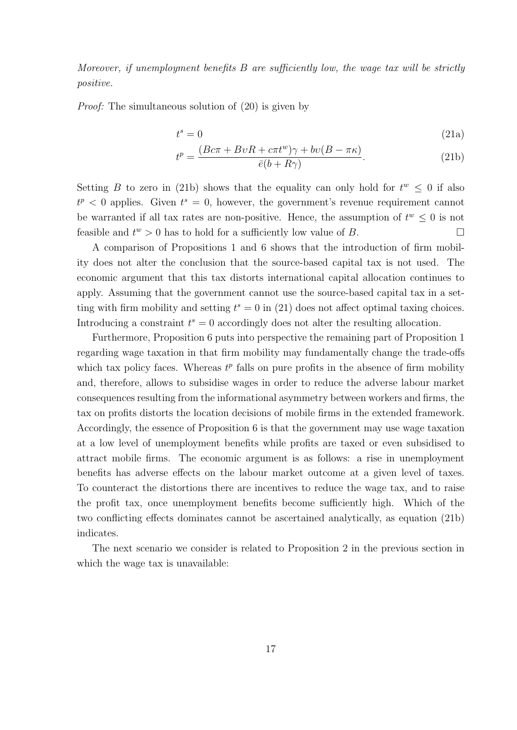Moreover, if unemployment benefits B are sufficiently low, the wage tax will be strictly positive.

*Proof:* The simultaneous solution of  $(20)$  is given by

$$
t^s = 0 \tag{21a}
$$

$$
t^{p} = \frac{(Bc\pi + BvR + c\pi t^{w})\gamma + bv(B - \pi \kappa)}{\bar{e}(b + R\gamma)}.
$$
\n(21b)

Setting B to zero in (21b) shows that the equality can only hold for  $t^w \leq 0$  if also  $t^p < 0$  applies. Given  $t^s = 0$ , however, the government's revenue requirement cannot be warranted if all tax rates are non-positive. Hence, the assumption of  $t^w \leq 0$  is not feasible and  $t^w > 0$  has to hold for a sufficiently low value of B.

A comparison of Propositions 1 and 6 shows that the introduction of firm mobility does not alter the conclusion that the source-based capital tax is not used. The economic argument that this tax distorts international capital allocation continues to apply. Assuming that the government cannot use the source-based capital tax in a setting with firm mobility and setting  $t^s = 0$  in (21) does not affect optimal taxing choices. Introducing a constraint  $t^s = 0$  accordingly does not alter the resulting allocation.

Furthermore, Proposition 6 puts into perspective the remaining part of Proposition 1 regarding wage taxation in that firm mobility may fundamentally change the trade-offs which tax policy faces. Whereas  $t^p$  falls on pure profits in the absence of firm mobility and, therefore, allows to subsidise wages in order to reduce the adverse labour market consequences resulting from the informational asymmetry between workers and firms, the tax on profits distorts the location decisions of mobile firms in the extended framework. Accordingly, the essence of Proposition 6 is that the government may use wage taxation at a low level of unemployment benefits while profits are taxed or even subsidised to attract mobile firms. The economic argument is as follows: a rise in unemployment benefits has adverse effects on the labour market outcome at a given level of taxes. To counteract the distortions there are incentives to reduce the wage tax, and to raise the profit tax, once unemployment benefits become sufficiently high. Which of the two conflicting effects dominates cannot be ascertained analytically, as equation (21b) indicates.

The next scenario we consider is related to Proposition 2 in the previous section in which the wage tax is unavailable: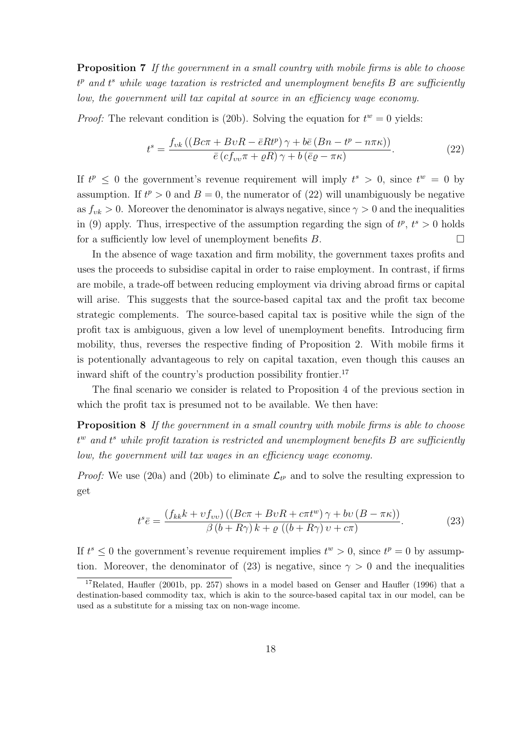**Proposition 7** If the government in a small country with mobile firms is able to choose  $t^p$  and  $t^s$  while wage taxation is restricted and unemployment benefits B are sufficiently low, the government will tax capital at source in an efficiency wage economy.

*Proof:* The relevant condition is (20b). Solving the equation for  $t^w = 0$  yields:

$$
t^{s} = \frac{f_{vk} \left( \left( Bc\pi + BvR - \bar{e}Rt^{p} \right) \gamma + b\bar{e} \left( Bn - t^{p} - n\pi\kappa \right) \right)}{\bar{e} \left( c f_{vv}\pi + \varrho R \right) \gamma + b \left( \bar{e}\varrho - \pi\kappa \right)}.
$$
\n(22)

If  $t^p \leq 0$  the government's revenue requirement will imply  $t^s > 0$ , since  $t^w = 0$  by assumption. If  $t^p > 0$  and  $B = 0$ , the numerator of (22) will unambiguously be negative as  $f_{\nu k} > 0$ . Moreover the denominator is always negative, since  $\gamma > 0$  and the inequalities in (9) apply. Thus, irrespective of the assumption regarding the sign of  $t^p$ ,  $t^s > 0$  holds for a sufficiently low level of unemployment benefits  $B$ .

In the absence of wage taxation and firm mobility, the government taxes profits and uses the proceeds to subsidise capital in order to raise employment. In contrast, if firms are mobile, a trade-off between reducing employment via driving abroad firms or capital will arise. This suggests that the source-based capital tax and the profit tax become strategic complements. The source-based capital tax is positive while the sign of the profit tax is ambiguous, given a low level of unemployment benefits. Introducing firm mobility, thus, reverses the respective finding of Proposition 2. With mobile firms it is potentionally advantageous to rely on capital taxation, even though this causes an inward shift of the country's production possibility frontier.<sup>17</sup>

The final scenario we consider is related to Proposition 4 of the previous section in which the profit tax is presumed not to be available. We then have:

**Proposition 8** If the government in a small country with mobile firms is able to choose  $t^w$  and  $t^s$  while profit taxation is restricted and unemployment benefits B are sufficiently low, the government will tax wages in an efficiency wage economy.

*Proof:* We use (20a) and (20b) to eliminate  $\mathcal{L}_{t^p}$  and to solve the resulting expression to get

$$
t^{s}\bar{e} = \frac{\left(f_{kk}k + \upsilon f_{\upsilon\upsilon}\right)\left(\left(Bc\pi + B\upsilon R + c\pi t^{\upsilon}\right)\gamma + b\upsilon\left(B - \pi\kappa\right)\right)}{\beta\left(b + R\gamma\right)k + \varrho\left(\left(b + R\gamma\right)\upsilon + c\pi\right)}.
$$
\n(23)

If  $t^s \leq 0$  the government's revenue requirement implies  $t^w > 0$ , since  $t^p = 0$  by assumption. Moreover, the denominator of (23) is negative, since  $\gamma > 0$  and the inequalities

<sup>&</sup>lt;sup>17</sup>Related, Haufler (2001b, pp. 257) shows in a model based on Genser and Haufler (1996) that a destination-based commodity tax, which is akin to the source-based capital tax in our model, can be used as a substitute for a missing tax on non-wage income.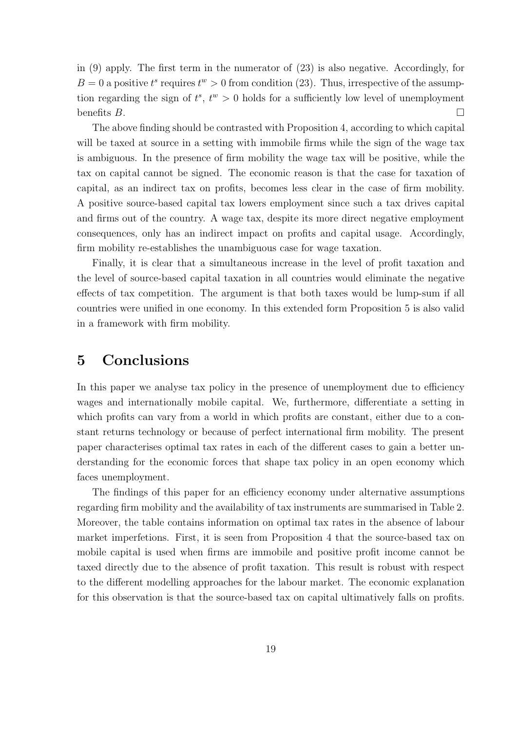in (9) apply. The first term in the numerator of (23) is also negative. Accordingly, for  $B=0$  a positive  $t^s$  requires  $t^w > 0$  from condition (23). Thus, irrespective of the assumption regarding the sign of  $t^s$ ,  $t^w > 0$  holds for a sufficiently low level of unemployment benefits  $B$ .

The above finding should be contrasted with Proposition 4, according to which capital will be taxed at source in a setting with immobile firms while the sign of the wage tax is ambiguous. In the presence of firm mobility the wage tax will be positive, while the tax on capital cannot be signed. The economic reason is that the case for taxation of capital, as an indirect tax on profits, becomes less clear in the case of firm mobility. A positive source-based capital tax lowers employment since such a tax drives capital and firms out of the country. A wage tax, despite its more direct negative employment consequences, only has an indirect impact on profits and capital usage. Accordingly, firm mobility re-establishes the unambiguous case for wage taxation.

Finally, it is clear that a simultaneous increase in the level of profit taxation and the level of source-based capital taxation in all countries would eliminate the negative effects of tax competition. The argument is that both taxes would be lump-sum if all countries were unified in one economy. In this extended form Proposition 5 is also valid in a framework with firm mobility.

# **5 Conclusions**

In this paper we analyse tax policy in the presence of unemployment due to efficiency wages and internationally mobile capital. We, furthermore, differentiate a setting in which profits can vary from a world in which profits are constant, either due to a constant returns technology or because of perfect international firm mobility. The present paper characterises optimal tax rates in each of the different cases to gain a better understanding for the economic forces that shape tax policy in an open economy which faces unemployment.

The findings of this paper for an efficiency economy under alternative assumptions regarding firm mobility and the availability of tax instruments are summarised in Table 2. Moreover, the table contains information on optimal tax rates in the absence of labour market imperfetions. First, it is seen from Proposition 4 that the source-based tax on mobile capital is used when firms are immobile and positive profit income cannot be taxed directly due to the absence of profit taxation. This result is robust with respect to the different modelling approaches for the labour market. The economic explanation for this observation is that the source-based tax on capital ultimatively falls on profits.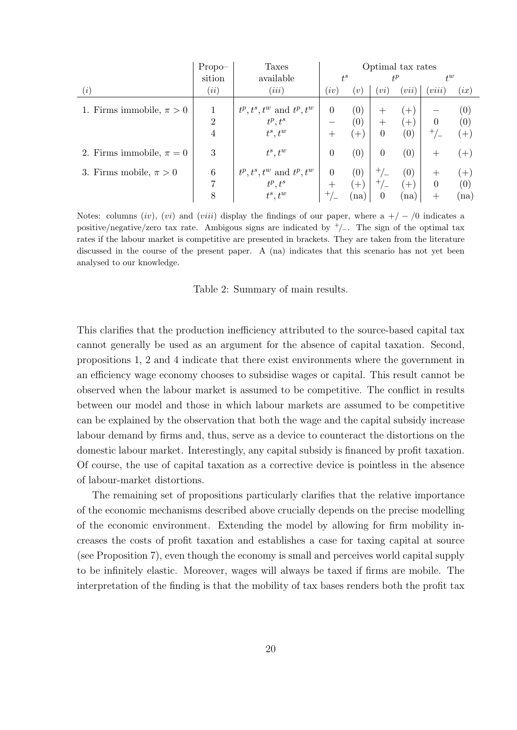|                              | $Propo-$       | <b>Taxes</b>                   | Optimal tax rates  |                   |                  |          |                |       |
|------------------------------|----------------|--------------------------------|--------------------|-------------------|------------------|----------|----------------|-------|
|                              | sition         | available                      | $t^s$              |                   | $t^p$            |          | $t^w$          |       |
| (i)                          | (ii)           | (iii)                          | (iv)               | $\left[v\right]$  | (vi)             | (vii)    | (viii)         | (ix)  |
| 1. Firms immobile, $\pi > 0$ | 1              | $t^p, t^s, t^w$ and $t^p, t^w$ | $\theta$           | $\left(0\right)$  |                  | $(+)$    |                | (0)   |
|                              | $\overline{2}$ | $t^p, t^s$                     |                    | $\left( 0\right)$ | $^{+}$           | $^{(+)}$ | $\overline{0}$ | (0)   |
|                              | 4              | $t^s, t^w$                     | $^+$               | $[+]$             | $\overline{0}$   | (0)      | $^{+}/_{-}$    | $(+)$ |
| 2. Firms immobile, $\pi = 0$ | 3              | $t^s, t^w$                     | $\overline{0}$     | $\left(0\right)$  | $\theta$         | (0)      | $^+$           | $(+)$ |
| 3. Firms mobile, $\pi > 0$   | 6              | $t^p, t^s, t^w$ and $t^p, t^w$ | $\Omega$           | $\left(0\right)$  | $+$ ,            | (0)      |                | $(+)$ |
|                              | 7              | $t^p, t^s$                     | $\hspace{0.1mm} +$ | $+$               | $+$ ,            | $^{+}$   | $\overline{0}$ | (0)   |
|                              | 8              | $t^s, t^w$                     | $+$ /              | (na)              | $\boldsymbol{0}$ | (na)     | $\pm$          | (na)  |

Notes: columns (iv), (vi) and (viii) display the findings of our paper, where a  $+/-/0$  indicates a positive/negative/zero tax rate. Ambigous signs are indicated by  $\pm/$ . The sign of the optimal tax rates if the labour market is competitive are presented in brackets. They are taken from the literature discussed in the course of the present paper. A (na) indicates that this scenario has not yet been analysed to our knowledge.

Table 2: Summary of main results.

This clarifies that the production inefficiency attributed to the source-based capital tax cannot generally be used as an argument for the absence of capital taxation. Second, propositions 1, 2 and 4 indicate that there exist environments where the government in an efficiency wage economy chooses to subsidise wages or capital. This result cannot be observed when the labour market is assumed to be competitive. The conflict in results between our model and those in which labour markets are assumed to be competitive can be explained by the observation that both the wage and the capital subsidy increase labour demand by firms and, thus, serve as a device to counteract the distortions on the domestic labour market. Interestingly, any capital subsidy is financed by profit taxation. Of course, the use of capital taxation as a corrective device is pointless in the absence of labour-market distortions.

The remaining set of propositions particularly clarifies that the relative importance of the economic mechanisms described above crucially depends on the precise modelling of the economic environment. Extending the model by allowing for firm mobility increases the costs of profit taxation and establishes a case for taxing capital at source (see Proposition 7), even though the economy is small and perceives world capital supply to be infinitely elastic. Moreover, wages will always be taxed if firms are mobile. The interpretation of the finding is that the mobility of tax bases renders both the profit tax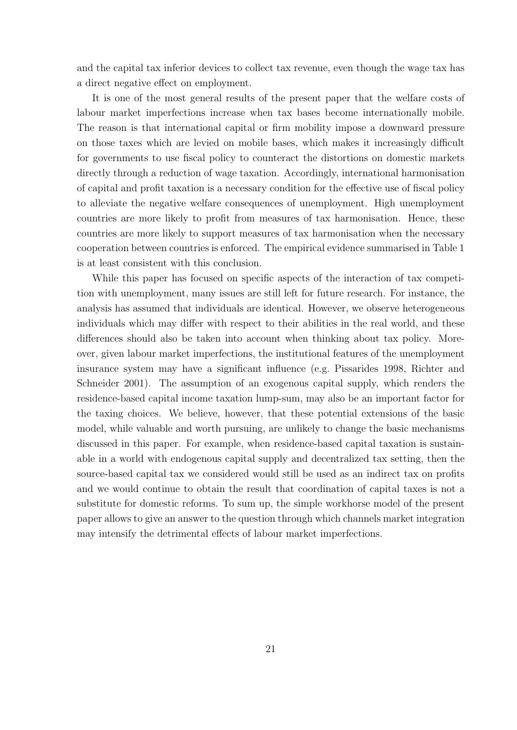and the capital tax inferior devices to collect tax revenue, even though the wage tax has a direct negative effect on employment.

It is one of the most general results of the present paper that the welfare costs of labour market imperfections increase when tax bases become internationally mobile. The reason is that international capital or firm mobility impose a downward pressure on those taxes which are levied on mobile bases, which makes it increasingly difficult for governments to use fiscal policy to counteract the distortions on domestic markets directly through a reduction of wage taxation. Accordingly, international harmonisation of capital and profit taxation is a necessary condition for the effective use of fiscal policy to alleviate the negative welfare consequences of unemployment. High unemployment countries are more likely to profit from measures of tax harmonisation. Hence, these countries are more likely to support measures of tax harmonisation when the necessary cooperation between countries is enforced. The empirical evidence summarised in Table 1 is at least consistent with this conclusion.

While this paper has focused on specific aspects of the interaction of tax competition with unemployment, many issues are still left for future research. For instance, the analysis has assumed that individuals are identical. However, we observe heterogeneous individuals which may differ with respect to their abilities in the real world, and these differences should also be taken into account when thinking about tax policy. Moreover, given labour market imperfections, the institutional features of the unemployment insurance system may have a significant influence (e.g. Pissarides 1998, Richter and Schneider 2001). The assumption of an exogenous capital supply, which renders the residence-based capital income taxation lump-sum, may also be an important factor for the taxing choices. We believe, however, that these potential extensions of the basic model, while valuable and worth pursuing, are unlikely to change the basic mechanisms discussed in this paper. For example, when residence-based capital taxation is sustainable in a world with endogenous capital supply and decentralized tax setting, then the source-based capital tax we considered would still be used as an indirect tax on profits and we would continue to obtain the result that coordination of capital taxes is not a substitute for domestic reforms. To sum up, the simple workhorse model of the present paper allows to give an answer to the question through which channels market integration may intensify the detrimental effects of labour market imperfections.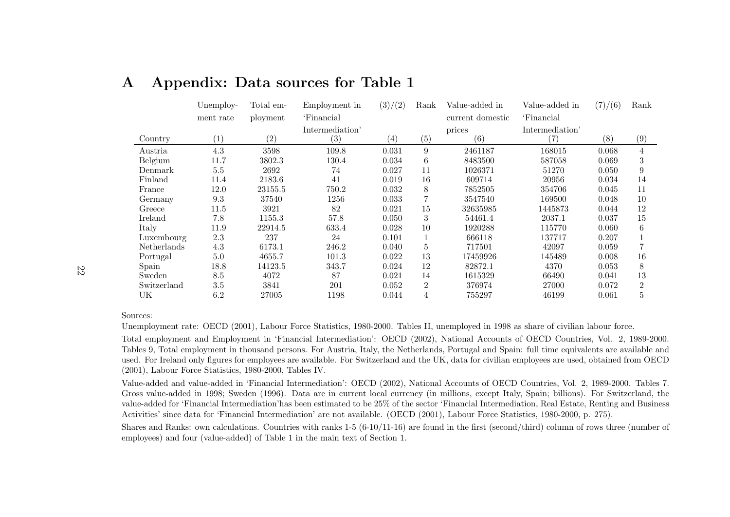|             | Unemploy- | Total em- | Employment in     | (3)/(2)           | Rank           | Value-added in   | Value-added in  | (7)/(6) | Rank           |
|-------------|-----------|-----------|-------------------|-------------------|----------------|------------------|-----------------|---------|----------------|
|             | ment rate | ployment  | 'Financial        |                   |                | current domestic | 'Financial      |         |                |
|             |           |           | Intermediation'   |                   |                | prices           | Intermediation' |         |                |
| Country     | (1)       | (2)       | $\left( 3\right)$ | $\left( 4\right)$ | (5)            | (6)              | 7)              | (8)     | (9)            |
| Austria     | 4.3       | 3598      | 109.8             | 0.031             | 9              | 2461187          | 168015          | 0.068   | $\overline{4}$ |
| Belgium     | 11.7      | 3802.3    | 130.4             | 0.034             | 6              | 8483500          | 587058          | 0.069   | 3              |
| Denmark     | $5.5\,$   | 2692      | 74                | 0.027             | 11             | 1026371          | 51270           | 0.050   | 9              |
| Finland     | 11.4      | 2183.6    | 41                | 0.019             | 16             | 609714           | 20956           | 0.034   | 14             |
| France      | 12.0      | 23155.5   | 750.2             | 0.032             | 8              | 7852505          | 354706          | 0.045   | 11             |
| Germany     | 9.3       | 37540     | 1256              | 0.033             |                | 3547540          | 169500          | 0.048   | 10             |
| Greece      | 11.5      | 3921      | 82                | 0.021             | 15             | 32635985         | 1445873         | 0.044   | 12             |
| Ireland     | 7.8       | 1155.3    | 57.8              | 0.050             | 3              | 54461.4          | 2037.1          | 0.037   | 15             |
| Italy       | 11.9      | 22914.5   | 633.4             | 0.028             | 10             | 1920288          | 115770          | 0.060   | 6              |
| Luxembourg  | 2.3       | 237       | 24                | 0.101             |                | 666118           | 137717          | 0.207   |                |
| Netherlands | 4.3       | 6173.1    | 246.2             | 0.040             | 5              | 717501           | 42097           | 0.059   |                |
| Portugal    | 5.0       | 4655.7    | 101.3             | 0.022             | 13             | 17459926         | 145489          | 0.008   | 16             |
| Spain       | 18.8      | 14123.5   | 343.7             | 0.024             | 12             | 82872.1          | 4370            | 0.053   | 8              |
| Sweden      | 8.5       | 4072      | 87                | 0.021             | 14             | 1615329          | 66490           | 0.041   | 13             |
| Switzerland | 3.5       | 3841      | 201               | 0.052             | $\overline{2}$ | 376974           | 27000           | 0.072   | $\overline{2}$ |
| UK          | 6.2       | 27005     | 1198              | 0.044             | 4              | 755297           | 46199           | 0.061   | 5              |

# **A Appendix: Data sources for Table 1**

#### Sources:

Unemployment rate: OECD (2001), Labour Force Statistics, 1980-2000. Tables II, unemployed in <sup>1998</sup> as share of civilian labour force.

Total employment and Employment in 'Financial Intermediation': OECD (2002), National Accounts of OECD Countries, Vol. 2, 1989-2000. Tables 9, Total employment in thousand persons. For Austria, Italy, the Netherlands, Portugal and Spain: full time equivalents are available and used. For Ireland only figures for employees are available. For Switzerland and the UK, data for civilian employees are used, obtained from OECD (2001), Labour Force Statistics, 1980-2000, Tables IV.

Value-added and value-added in 'Financial Intermediation': OECD (2002), National Accounts of OECD Countries, Vol. 2, 1989-2000. Tables 7. Gross value-added in 1998; Sweden (1996). Data are in current local currency (in millions, except Italy, Spain; billions). For Switzerland, the value-added for 'Financial Intermediation'has been estimated to be 25% of the sector 'Financial Intermediation, Real Estate, Renting and Business Activities' since data for 'Financial Intermediation' are not available. (OECD (2001), Labour Force Statistics, 1980-2000, p. 275).

Shares and Ranks: own calculations. Countries with ranks 1-5 (6-10/11-16) are found in the first (second/third) column of rows three (number of employees) and four (value-added) of Table <sup>1</sup> in the main text of Section 1.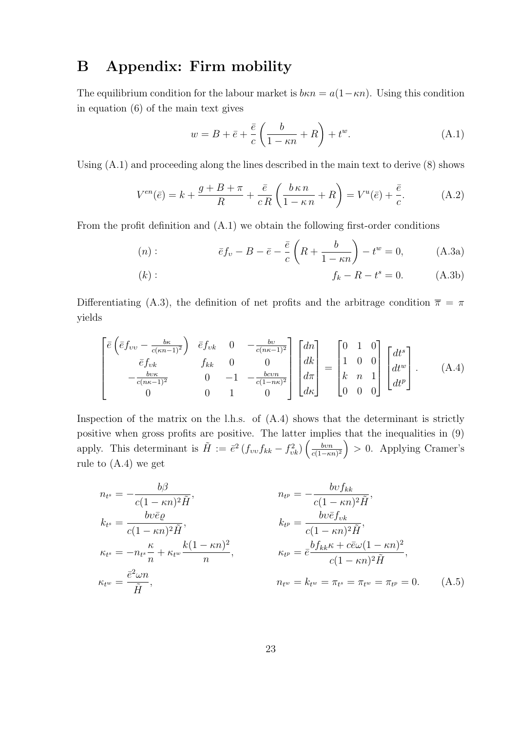# **B Appendix: Firm mobility**

The equilibrium condition for the labour market is  $b\kappa n = a(1-\kappa n)$ . Using this condition in equation (6) of the main text gives

$$
w = B + \bar{e} + \frac{\bar{e}}{c} \left( \frac{b}{1 - \kappa n} + R \right) + t^{w}.
$$
 (A.1)

Using  $(A.1)$  and proceeding along the lines described in the main text to derive  $(8)$  shows

$$
V^{en}(\bar{e}) = k + \frac{g + B + \pi}{R} + \frac{\bar{e}}{cR} \left( \frac{b \kappa n}{1 - \kappa n} + R \right) = V^{u}(\bar{e}) + \frac{\bar{e}}{c}.
$$
 (A.2)

From the profit definition and (A.1) we obtain the following first-order conditions

$$
(n): \t\bar{e}f_v - B - \bar{e} - \frac{\bar{e}}{c}\left(R + \frac{b}{1 - \kappa n}\right) - t^w = 0, \t(A.3a)
$$

(k): 
$$
f_k - R - t^s = 0.
$$
 (A.3b)

Differentiating (A.3), the definition of net profits and the arbitrage condition  $\bar{\pi} = \pi$ yields

$$
\begin{bmatrix}\n\bar{e} \left( \bar{e} f_{vv} - \frac{b\kappa}{c(\kappa n - 1)^2} \right) & \bar{e} f_{vk} & 0 & -\frac{b\upsilon}{c(n\kappa - 1)^2} \\
\bar{e} f_{vk} & f_{kk} & 0 & 0 \\
-\frac{b\upsilon\kappa}{c(n\kappa - 1)^2} & 0 & -1 & -\frac{b\upsilon\upsilon n}{c(1 - n\kappa)^2} \\
0 & 0 & 1 & 0\n\end{bmatrix}\n\begin{bmatrix}\ndn \\
dk \\
d\pi \\
d\kappa\n\end{bmatrix} = \n\begin{bmatrix}\n0 & 1 & 0 \\
1 & 0 & 0 \\
k & n & 1 \\
0 & 0 & 0\n\end{bmatrix}\n\begin{bmatrix}\ndt^s \\
dt^w \\
dt^p\n\end{bmatrix}.
$$
\n(A.4)

Inspection of the matrix on the l.h.s. of (A.4) shows that the determinant is strictly positive when gross profits are positive. The latter implies that the inequalities in (9) apply. This determinant is  $\tilde{H} := \bar{e}^2 \left( f_{vv} f_{kk} - f_{vk}^2 \right) \left( \frac{bvn}{c(1-\kappa)} \right)$  $\overline{c(1-\kappa n)^2}$  $\big) > 0$ . Applying Cramer's rule to (A.4) we get

$$
n_{t^{s}} = -\frac{b\beta}{c(1 - \kappa n)^{2}\tilde{H}}, \qquad n_{t^{p}} = -\frac{b\upsilon f_{kk}}{c(1 - \kappa n)^{2}\tilde{H}},
$$
  
\n
$$
k_{t^{s}} = \frac{b\upsilon \bar{e}\varrho}{c(1 - \kappa n)^{2}\tilde{H}}, \qquad k_{t^{p}} = \frac{b\upsilon \bar{e}f_{\upsilon k}}{c(1 - \kappa n)^{2}\tilde{H}},
$$
  
\n
$$
\kappa_{t^{s}} = -n_{t^{s}}\frac{\kappa}{n} + \kappa_{t^{w}}\frac{k(1 - \kappa n)^{2}}{n}, \qquad \kappa_{t^{p}} = \bar{e}^{\frac{bf_{kk}\kappa + c\bar{e}\omega(1 - \kappa n)^{2}}{c(1 - \kappa n)^{2}\tilde{H}},
$$
  
\n
$$
\kappa_{t^{w}} = \frac{\bar{e}^{2}\omega n}{\tilde{H}}, \qquad n_{t^{w}} = k_{t^{w}} = \pi_{t^{s}} = \pi_{t^{w}} = \pi_{t^{p}} = 0. \qquad (A.5)
$$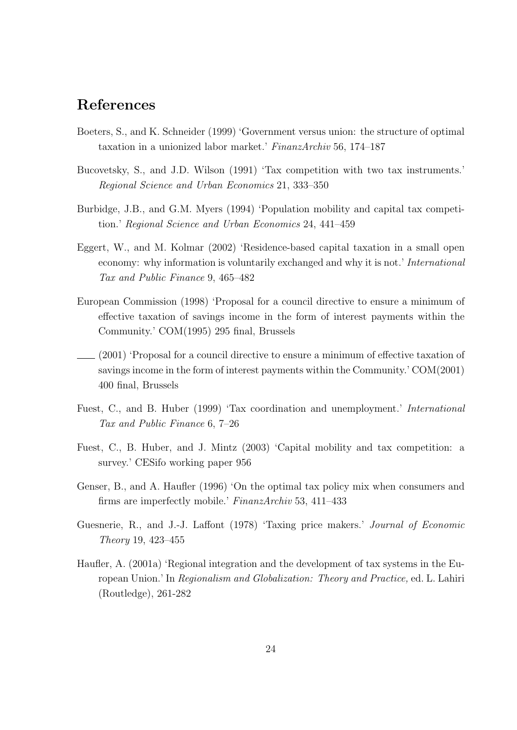# **References**

- Boeters, S., and K. Schneider (1999) 'Government versus union: the structure of optimal taxation in a unionized labor market.' FinanzArchiv 56, 174–187
- Bucovetsky, S., and J.D. Wilson (1991) 'Tax competition with two tax instruments.' Regional Science and Urban Economics 21, 333–350
- Burbidge, J.B., and G.M. Myers (1994) 'Population mobility and capital tax competition.' Regional Science and Urban Economics 24, 441–459
- Eggert, W., and M. Kolmar (2002) 'Residence-based capital taxation in a small open economy: why information is voluntarily exchanged and why it is not.' International Tax and Public Finance 9, 465–482
- European Commission (1998) 'Proposal for a council directive to ensure a minimum of effective taxation of savings income in the form of interest payments within the Community.' COM(1995) 295 final, Brussels
- (2001) 'Proposal for a council directive to ensure a minimum of effective taxation of savings income in the form of interest payments within the Community.' COM(2001) 400 final, Brussels
- Fuest, C., and B. Huber (1999) 'Tax coordination and unemployment.' International Tax and Public Finance 6, 7–26
- Fuest, C., B. Huber, and J. Mintz (2003) 'Capital mobility and tax competition: a survey.' CESifo working paper 956
- Genser, B., and A. Haufler (1996) 'On the optimal tax policy mix when consumers and firms are imperfectly mobile.' FinanzArchiv 53, 411–433
- Guesnerie, R., and J.-J. Laffont (1978) 'Taxing price makers.' Journal of Economic Theory 19, 423–455
- Haufler, A. (2001a) 'Regional integration and the development of tax systems in the European Union.' In Regionalism and Globalization: Theory and Practice, ed. L. Lahiri (Routledge), 261-282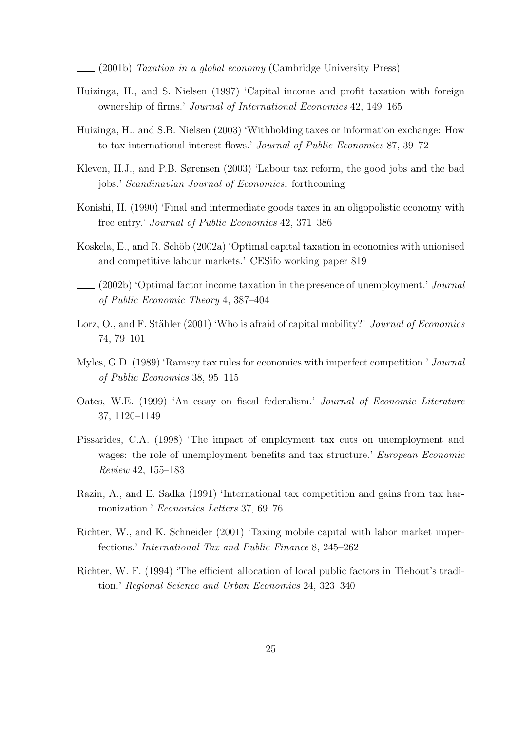(2001b) Taxation in a global economy (Cambridge University Press)

- Huizinga, H., and S. Nielsen (1997) 'Capital income and profit taxation with foreign ownership of firms.' Journal of International Economics 42, 149–165
- Huizinga, H., and S.B. Nielsen (2003) 'Withholding taxes or information exchange: How to tax international interest flows.' Journal of Public Economics 87, 39–72
- Kleven, H.J., and P.B. Sørensen (2003) 'Labour tax reform, the good jobs and the bad jobs.' Scandinavian Journal of Economics. forthcoming
- Konishi, H. (1990) 'Final and intermediate goods taxes in an oligopolistic economy with free entry.' Journal of Public Economics 42, 371–386
- Koskela, E., and R. Schöb (2002a) 'Optimal capital taxation in economies with unionised and competitive labour markets.' CESifo working paper 819
- (2002b) 'Optimal factor income taxation in the presence of unemployment.' Journal of Public Economic Theory 4, 387–404
- Lorz, O., and F. Stähler (2001) 'Who is afraid of capital mobility?' Journal of Economics 74, 79–101
- Myles, G.D. (1989) 'Ramsey tax rules for economies with imperfect competition.' Journal of Public Economics 38, 95–115
- Oates, W.E. (1999) 'An essay on fiscal federalism.' Journal of Economic Literature 37, 1120–1149
- Pissarides, C.A. (1998) 'The impact of employment tax cuts on unemployment and wages: the role of unemployment benefits and tax structure.' European Economic Review 42, 155–183
- Razin, A., and E. Sadka (1991) 'International tax competition and gains from tax harmonization.' Economics Letters 37, 69–76
- Richter, W., and K. Schneider (2001) 'Taxing mobile capital with labor market imperfections.' International Tax and Public Finance 8, 245–262
- Richter, W. F. (1994) 'The efficient allocation of local public factors in Tiebout's tradition.' Regional Science and Urban Economics 24, 323–340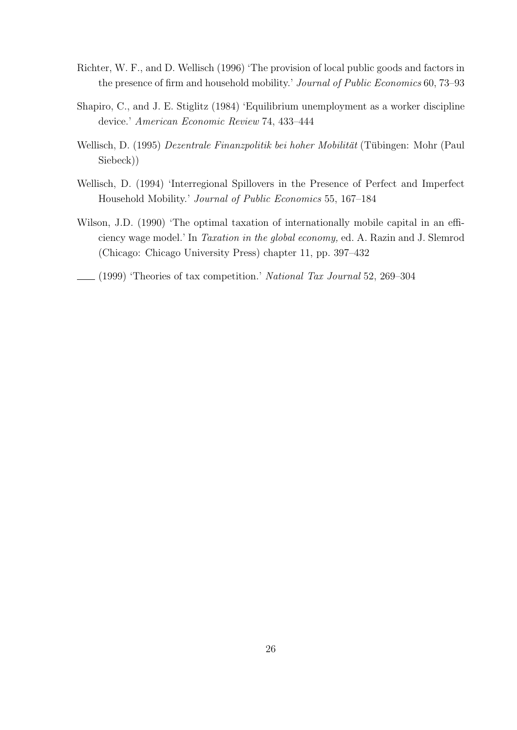- Richter, W. F., and D. Wellisch (1996) 'The provision of local public goods and factors in the presence of firm and household mobility.' Journal of Public Economics 60, 73–93
- Shapiro, C., and J. E. Stiglitz (1984) 'Equilibrium unemployment as a worker discipline device.' American Economic Review 74, 433–444
- Wellisch, D. (1995) Dezentrale Finanzpolitik bei hoher Mobilität (Tübingen: Mohr (Paul Siebeck))
- Wellisch, D. (1994) 'Interregional Spillovers in the Presence of Perfect and Imperfect Household Mobility.' Journal of Public Economics 55, 167–184
- Wilson, J.D. (1990) 'The optimal taxation of internationally mobile capital in an efficiency wage model.' In Taxation in the global economy, ed. A. Razin and J. Slemrod (Chicago: Chicago University Press) chapter 11, pp. 397–432
- (1999) 'Theories of tax competition.' National Tax Journal 52, 269–304